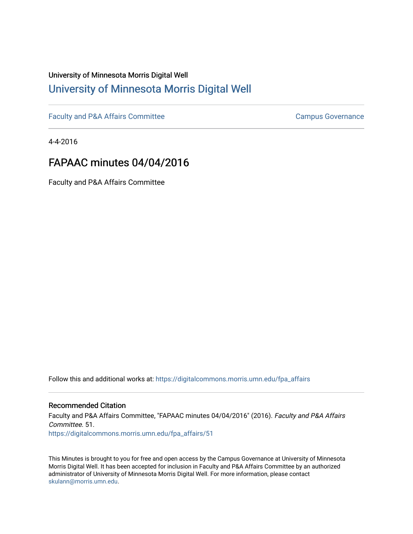## University of Minnesota Morris Digital Well [University of Minnesota Morris Digital Well](https://digitalcommons.morris.umn.edu/)

[Faculty and P&A Affairs Committee](https://digitalcommons.morris.umn.edu/fpa_affairs) [Campus Governance](https://digitalcommons.morris.umn.edu/campgov) Campus Governance

4-4-2016

## FAPAAC minutes 04/04/2016

Faculty and P&A Affairs Committee

Follow this and additional works at: [https://digitalcommons.morris.umn.edu/fpa\\_affairs](https://digitalcommons.morris.umn.edu/fpa_affairs?utm_source=digitalcommons.morris.umn.edu%2Ffpa_affairs%2F51&utm_medium=PDF&utm_campaign=PDFCoverPages)

## Recommended Citation

Faculty and P&A Affairs Committee, "FAPAAC minutes 04/04/2016" (2016). Faculty and P&A Affairs Committee. 51. [https://digitalcommons.morris.umn.edu/fpa\\_affairs/51](https://digitalcommons.morris.umn.edu/fpa_affairs/51?utm_source=digitalcommons.morris.umn.edu%2Ffpa_affairs%2F51&utm_medium=PDF&utm_campaign=PDFCoverPages) 

This Minutes is brought to you for free and open access by the Campus Governance at University of Minnesota Morris Digital Well. It has been accepted for inclusion in Faculty and P&A Affairs Committee by an authorized administrator of University of Minnesota Morris Digital Well. For more information, please contact [skulann@morris.umn.edu.](mailto:skulann@morris.umn.edu)